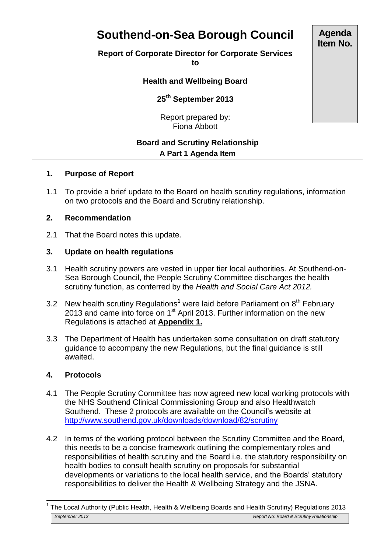# **Southend-on-Sea Borough Council**

## **Report of Corporate Director for Corporate Services**

**to**

## **Health and Wellbeing Board**

**25th September 2013**

Report prepared by: Fiona Abbott

## **Board and Scrutiny Relationship A Part 1 Agenda Item**

## **1. Purpose of Report**

1.1 To provide a brief update to the Board on health scrutiny regulations, information on two protocols and the Board and Scrutiny relationship.

### **2. Recommendation**

2.1 That the Board notes this update.

## **3. Update on health regulations**

- 3.1 Health scrutiny powers are vested in upper tier local authorities. At Southend-on-Sea Borough Council, the People Scrutiny Committee discharges the health scrutiny function, as conferred by the *Health and Social Care Act 2012.*
- 3.2 New health scrutiny Regulations<sup>1</sup> were laid before Parliament on 8<sup>th</sup> February 2013 and came into force on  $1<sup>st</sup>$  April 2013. Further information on the new Regulations is attached at **Appendix 1.**
- 3.3 The Department of Health has undertaken some consultation on draft statutory guidance to accompany the new Regulations, but the final guidance is still awaited.

## **4. Protocols**

 $\overline{\phantom{a}}$ 

- 4.1 The People Scrutiny Committee has now agreed new local working protocols with the NHS Southend Clinical Commissioning Group and also Healthwatch Southend. These 2 protocols are available on the Council's website at <http://www.southend.gov.uk/downloads/download/82/scrutiny>
- 4.2 In terms of the working protocol between the Scrutiny Committee and the Board, this needs to be a concise framework outlining the complementary roles and responsibilities of health scrutiny and the Board i.e. the statutory responsibility on health bodies to consult health scrutiny on proposals for substantial developments or variations to the local health service, and the Boards' statutory responsibilities to deliver the Health & Wellbeing Strategy and the JSNA.

**Agenda Item No.**

*September 2013 Report No: Board & Scrutiny Relationship* 1 The Local Authority (Public Health, Health & Wellbeing Boards and Health Scrutiny) Regulations 2013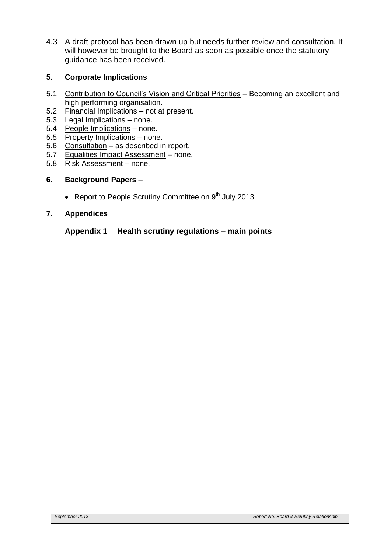4.3 A draft protocol has been drawn up but needs further review and consultation. It will however be brought to the Board as soon as possible once the statutory guidance has been received.

## **5. Corporate Implications**

- 5.1 Contribution to Council's Vision and Critical Priorities Becoming an excellent and high performing organisation.
- 5.2 Financial Implications not at present.
- 5.3 Legal Implications none.<br>5.4 People Implications none
- People Implications none.
- 5.5 Property Implications none.
- 5.6 Consultation as described in report.<br>5.7 Equalities Impact Assessment none
- 5.7 Equalities Impact Assessment none.<br>5.8 Risk Assessment none.
- 5.8 Risk Assessment none.

#### **6. Background Papers** –

• Report to People Scrutiny Committee on  $9<sup>th</sup>$  July 2013

#### **7. Appendices**

#### **Appendix 1 Health scrutiny regulations – main points**